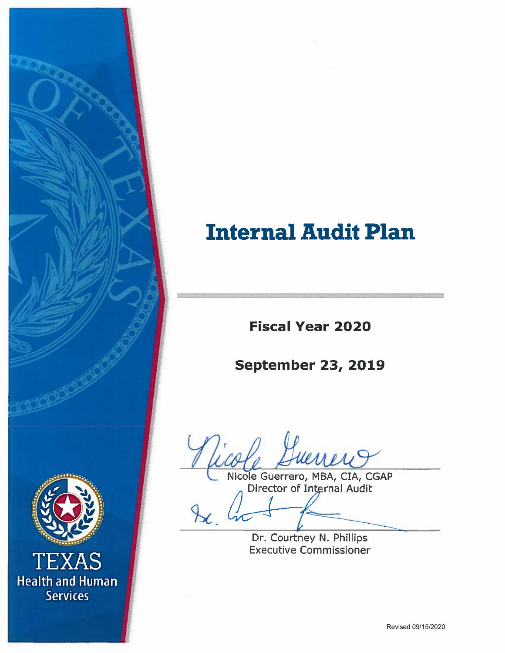# **Internal Audit Plan**

**Fiscal Year 2020** 

# **September 23, 2019**

Vicole Huerrero, MBA, CIA, CGAP

Dr. Courtney N. Phillips

**Executive Commissioner** 



TEXAS **Health and Human Services**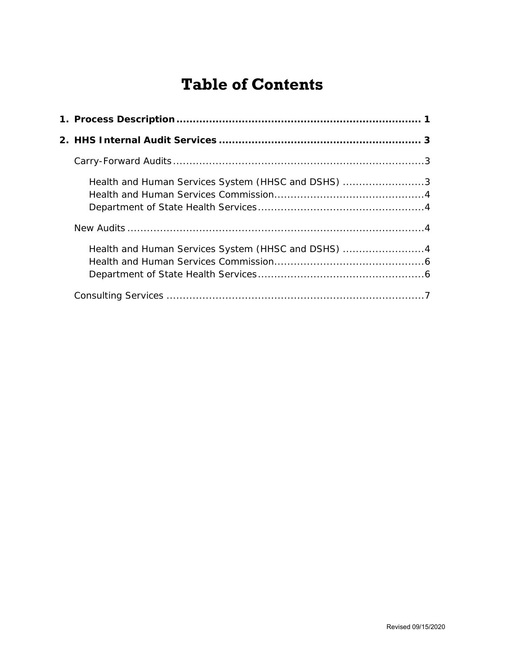# **Table of Contents**

| Health and Human Services System (HHSC and DSHS) 3 |  |
|----------------------------------------------------|--|
|                                                    |  |
|                                                    |  |
|                                                    |  |
| Health and Human Services System (HHSC and DSHS) 4 |  |
|                                                    |  |
|                                                    |  |
|                                                    |  |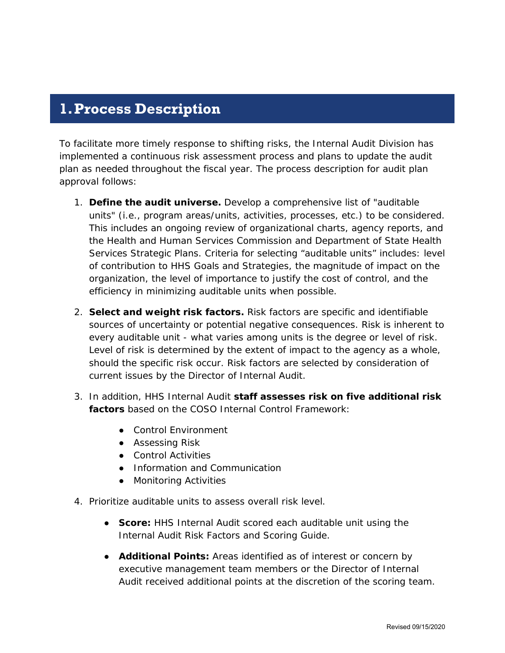# <span id="page-2-0"></span>**1.Process Description**

To facilitate more timely response to shifting risks, the Internal Audit Division has implemented a continuous risk assessment process and plans to update the audit plan as needed throughout the fiscal year. The process description for audit plan approval follows:

- 1. **Define the audit universe.** Develop a comprehensive list of "auditable units" (i.e., program areas/units, activities, processes, etc.) to be considered. This includes an ongoing review of organizational charts, agency reports, and the Health and Human Services Commission and Department of State Health Services Strategic Plans. Criteria for selecting "auditable units" includes: level of contribution to HHS Goals and Strategies, the magnitude of impact on the organization, the level of importance to justify the cost of control, and the efficiency in minimizing auditable units when possible.
- 2. **Select and weight risk factors.** Risk factors are specific and identifiable sources of uncertainty or potential negative consequences. Risk is inherent to every auditable unit - what varies among units is the degree or level of risk. Level of risk is determined by the extent of impact to the agency as a whole, should the specific risk occur. Risk factors are selected by consideration of current issues by the Director of Internal Audit.
- 3. In addition, HHS Internal Audit **staff assesses risk on five additional risk factors** based on the COSO Internal Control Framework:
	- Control Environment
	- Assessing Risk
	- Control Activities
	- Information and Communication
	- Monitoring Activities
- 4. Prioritize auditable units to assess overall risk level.
	- **Score:** HHS Internal Audit scored each auditable unit using the Internal Audit Risk Factors and Scoring Guide.
	- **Additional Points:** Areas identified as of interest or concern by executive management team members or the Director of Internal Audit received additional points at the discretion of the scoring team.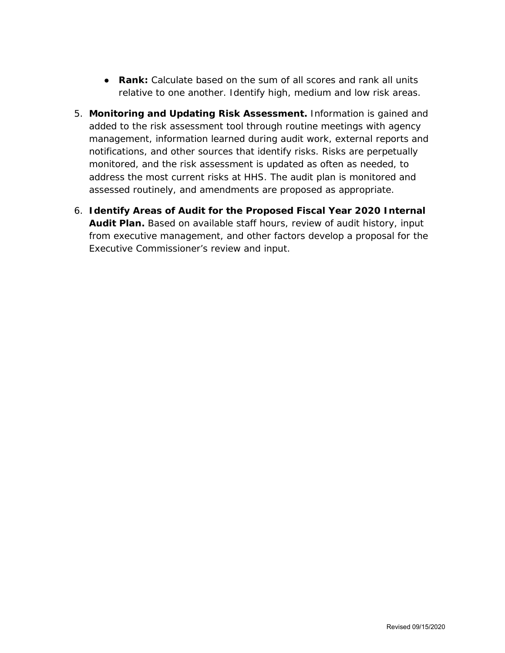- **Rank:** Calculate based on the sum of all scores and rank all units relative to one another. Identify high, medium and low risk areas.
- 5. **Monitoring and Updating Risk Assessment.** Information is gained and added to the risk assessment tool through routine meetings with agency management, information learned during audit work, external reports and notifications, and other sources that identify risks. Risks are perpetually monitored, and the risk assessment is updated as often as needed, to address the most current risks at HHS. The audit plan is monitored and assessed routinely, and amendments are proposed as appropriate.
- 6. **Identify Areas of Audit for the Proposed Fiscal Year 2020 Internal Audit Plan.** Based on available staff hours, review of audit history, input from executive management, and other factors develop a proposal for the Executive Commissioner's review and input.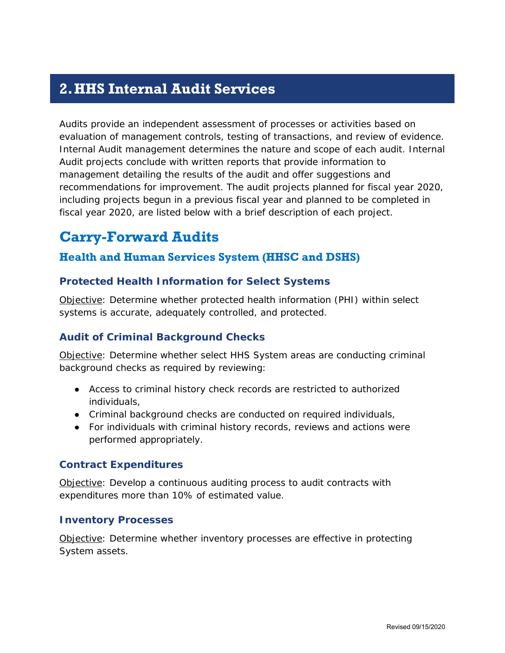# <span id="page-4-0"></span>**2.HHS Internal Audit Services**

Audits provide an independent assessment of processes or activities based on evaluation of management controls, testing of transactions, and review of evidence. Internal Audit management determines the nature and scope of each audit. Internal Audit projects conclude with written reports that provide information to management detailing the results of the audit and offer suggestions and recommendations for improvement. The audit projects planned for fiscal year 2020, including projects begun in a previous fiscal year and planned to be completed in fiscal year 2020, are listed below with a brief description of each project.

# <span id="page-4-1"></span>**Carry-Forward Audits**

### <span id="page-4-2"></span>**Health and Human Services System (HHSC and DSHS)**

#### **Protected Health Information for Select Systems**

Objective: Determine whether protected health information (PHI) within select systems is accurate, adequately controlled, and protected.

#### **Audit of Criminal Background Checks**

Objective: Determine whether select HHS System areas are conducting criminal background checks as required by reviewing:

- Access to criminal history check records are restricted to authorized individuals,
- Criminal background checks are conducted on required individuals,
- For individuals with criminal history records, reviews and actions were performed appropriately.

#### **Contract Expenditures**

Objective: Develop a continuous auditing process to audit contracts with expenditures more than 10% of estimated value.

#### **Inventory Processes**

Objective: Determine whether inventory processes are effective in protecting System assets.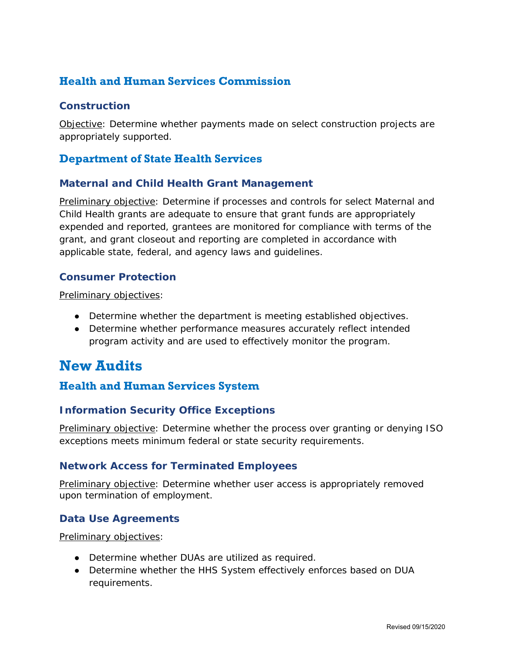# <span id="page-5-0"></span>**Health and Human Services Commission**

#### **Construction**

Objective: Determine whether payments made on select construction projects are appropriately supported.

### <span id="page-5-1"></span>**Department of State Health Services**

#### **Maternal and Child Health Grant Management**

Preliminary objective: Determine if processes and controls for select Maternal and Child Health grants are adequate to ensure that grant funds are appropriately expended and reported, grantees are monitored for compliance with terms of the grant, and grant closeout and reporting are completed in accordance with applicable state, federal, and agency laws and guidelines.

#### **Consumer Protection**

Preliminary objectives:

- Determine whether the department is meeting established objectives.
- Determine whether performance measures accurately reflect intended program activity and are used to effectively monitor the program.

# <span id="page-5-2"></span>**New Audits**

### <span id="page-5-3"></span>**Health and Human Services System**

#### **Information Security Office Exceptions**

Preliminary objective: Determine whether the process over granting or denying ISO exceptions meets minimum federal or state security requirements.

#### **Network Access for Terminated Employees**

Preliminary objective: Determine whether user access is appropriately removed upon termination of employment.

#### **Data Use Agreements**

Preliminary objectives:

- Determine whether DUAs are utilized as required.
- Determine whether the HHS System effectively enforces based on DUA requirements.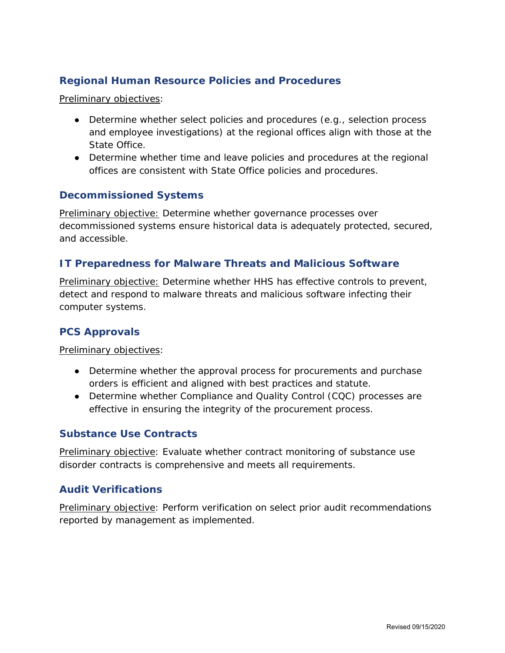#### **Regional Human Resource Policies and Procedures**

Preliminary objectives:

- Determine whether select policies and procedures (e.g., selection process and employee investigations) at the regional offices align with those at the State Office.
- Determine whether time and leave policies and procedures at the regional offices are consistent with State Office policies and procedures.

#### **Decommissioned Systems**

Preliminary objective: Determine whether governance processes over decommissioned systems ensure historical data is adequately protected, secured, and accessible.

#### **IT Preparedness for Malware Threats and Malicious Software**

Preliminary objective: Determine whether HHS has effective controls to prevent, detect and respond to malware threats and malicious software infecting their computer systems.

#### **PCS Approvals**

Preliminary objectives:

- Determine whether the approval process for procurements and purchase orders is efficient and aligned with best practices and statute.
- Determine whether Compliance and Quality Control (CQC) processes are effective in ensuring the integrity of the procurement process.

#### **Substance Use Contracts**

Preliminary objective: Evaluate whether contract monitoring of substance use disorder contracts is comprehensive and meets all requirements.

#### **Audit Verifications**

Preliminary objective: Perform verification on select prior audit recommendations reported by management as implemented.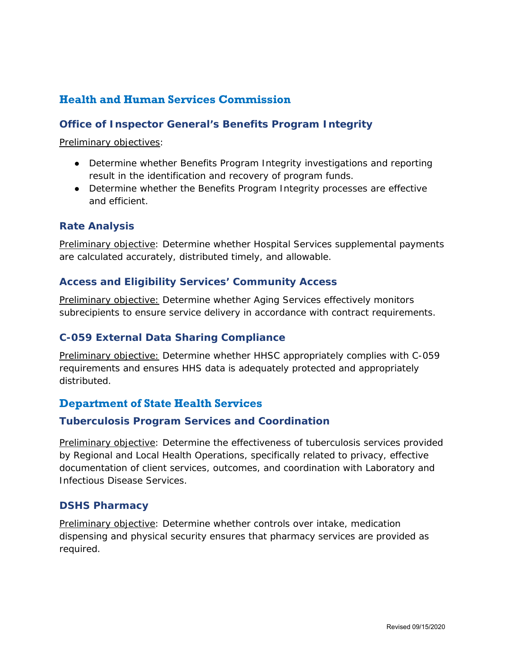## <span id="page-7-0"></span>**Health and Human Services Commission**

#### **Office of Inspector General's Benefits Program Integrity**

Preliminary objectives:

- Determine whether Benefits Program Integrity investigations and reporting result in the identification and recovery of program funds.
- Determine whether the Benefits Program Integrity processes are effective and efficient.

#### **Rate Analysis**

Preliminary objective: Determine whether Hospital Services supplemental payments are calculated accurately, distributed timely, and allowable.

#### **Access and Eligibility Services' Community Access**

Preliminary objective: Determine whether Aging Services effectively monitors subrecipients to ensure service delivery in accordance with contract requirements.

#### **C-059 External Data Sharing Compliance**

Preliminary objective: Determine whether HHSC appropriately complies with C-059 requirements and ensures HHS data is adequately protected and appropriately distributed.

### <span id="page-7-1"></span>**Department of State Health Services**

#### **Tuberculosis Program Services and Coordination**

Preliminary objective: Determine the effectiveness of tuberculosis services provided by Regional and Local Health Operations, specifically related to privacy, effective documentation of client services, outcomes, and coordination with Laboratory and Infectious Disease Services.

#### **DSHS Pharmacy**

Preliminary objective: Determine whether controls over intake, medication dispensing and physical security ensures that pharmacy services are provided as required.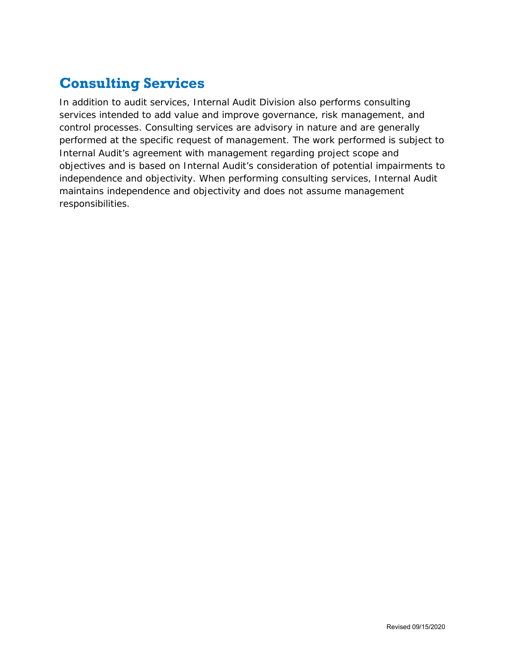# <span id="page-8-0"></span>**Consulting Services**

In addition to audit services, Internal Audit Division also performs consulting services intended to add value and improve governance, risk management, and control processes. Consulting services are advisory in nature and are generally performed at the specific request of management. The work performed is subject to Internal Audit's agreement with management regarding project scope and objectives and is based on Internal Audit's consideration of potential impairments to independence and objectivity. When performing consulting services, Internal Audit maintains independence and objectivity and does not assume management responsibilities.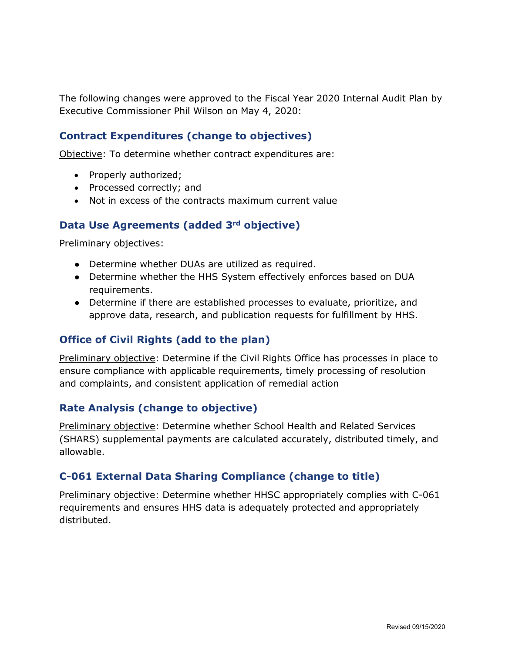The following changes were approved to the Fiscal Year 2020 Internal Audit Plan by Executive Commissioner Phil Wilson on May 4, 2020:

### **Contract Expenditures (change to objectives)**

Objective: To determine whether contract expenditures are:

- Properly authorized;
- Processed correctly; and
- Not in excess of the contracts maximum current value

#### **Data Use Agreements (added 3rd objective)**

Preliminary objectives:

- Determine whether DUAs are utilized as required.
- Determine whether the HHS System effectively enforces based on DUA requirements.
- Determine if there are established processes to evaluate, prioritize, and approve data, research, and publication requests for fulfillment by HHS.

#### **Office of Civil Rights (add to the plan)**

Preliminary objective: Determine if the Civil Rights Office has processes in place to ensure compliance with applicable requirements, timely processing of resolution and complaints, and consistent application of remedial action

#### **Rate Analysis (change to objective)**

Preliminary objective: Determine whether School Health and Related Services (SHARS) supplemental payments are calculated accurately, distributed timely, and allowable.

#### **C-061 External Data Sharing Compliance (change to title)**

Preliminary objective: Determine whether HHSC appropriately complies with C-061 requirements and ensures HHS data is adequately protected and appropriately distributed.